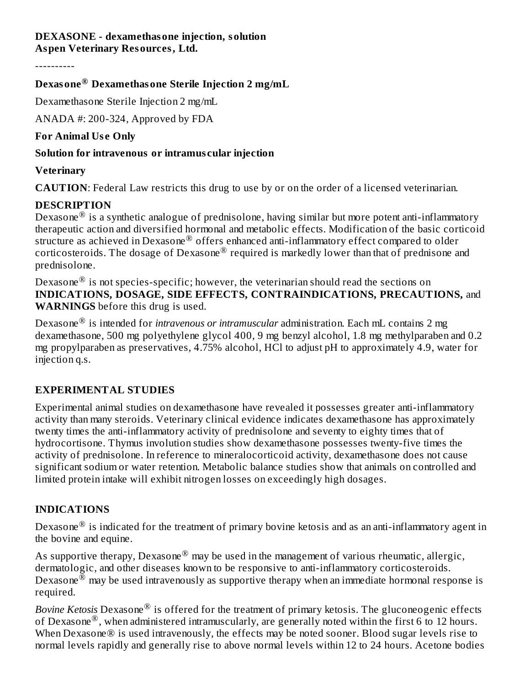# **DEXASONE - dexamethasone injection, solution**

**Aspen Veterinary Resources, Ltd.**

----------

## **Dexasone Dexamethasone Sterile Injection 2 mg/mL ®**

Dexamethasone Sterile Injection 2 mg/mL

ANADA #: 200-324, Approved by FDA

**For Animal Us e Only**

## **Solution for intravenous or intramus cular injection**

## **Veterinary**

**CAUTION**: Federal Law restricts this drug to use by or on the order of a licensed veterinarian.

# **DESCRIPTION**

Dexasone $^{\circledR}$  is a synthetic analogue of prednisolone, having similar but more potent anti-inflammatory therapeutic action and diversified hormonal and metabolic effects. Modification of the basic corticoid structure as achieved in Dexasone $^\circledR$  offers enhanced anti-inflammatory effect compared to older corticosteroids. The dosage of Dexasone® required is markedly lower than that of prednisone and prednisolone.

Dexasone $^\circledR$  is not species-specific; however, the veterinarian should read the sections on **INDICATIONS, DOSAGE, SIDE EFFECTS, CONTRAINDICATIONS, PRECAUTIONS,** and **WARNINGS** before this drug is used.

Dexasone is intended for *intravenous or intramuscular* administration. Each mL contains 2 mg ® dexamethasone, 500 mg polyethylene glycol 400, 9 mg benzyl alcohol, 1.8 mg methylparaben and 0.2 mg propylparaben as preservatives, 4.75% alcohol, HCl to adjust pH to approximately 4.9, water for injection q.s.

# **EXPERIMENTAL STUDIES**

Experimental animal studies on dexamethasone have revealed it possesses greater anti-inflammatory activity than many steroids. Veterinary clinical evidence indicates dexamethasone has approximately twenty times the anti-inflammatory activity of prednisolone and seventy to eighty times that of hydrocortisone. Thymus involution studies show dexamethasone possesses twenty-five times the activity of prednisolone. In reference to mineralocorticoid activity, dexamethasone does not cause significant sodium or water retention. Metabolic balance studies show that animals on controlled and limited protein intake will exhibit nitrogen losses on exceedingly high dosages.

# **INDICATIONS**

Dexasone $^{\circledR}$  is indicated for the treatment of primary bovine ketosis and as an anti-inflammatory agent in the bovine and equine.

As supportive therapy, Dexasone $^\circledR$  may be used in the management of various rheumatic, allergic, dermatologic, and other diseases known to be responsive to anti-inflammatory corticosteroids. Dexasone $^{\circledR}$  may be used intravenously as supportive therapy when an immediate hormonal response is required.

Bovine Ketosis Dexasone® is offered for the treatment of primary ketosis. The gluconeogenic effects of Dexasone<sup>®</sup>, when administered intramuscularly, are generally noted within the first 6 to 12 hours. When Dexasone® is used intravenously, the effects may be noted sooner. Blood sugar levels rise to normal levels rapidly and generally rise to above normal levels within 12 to 24 hours. Acetone bodies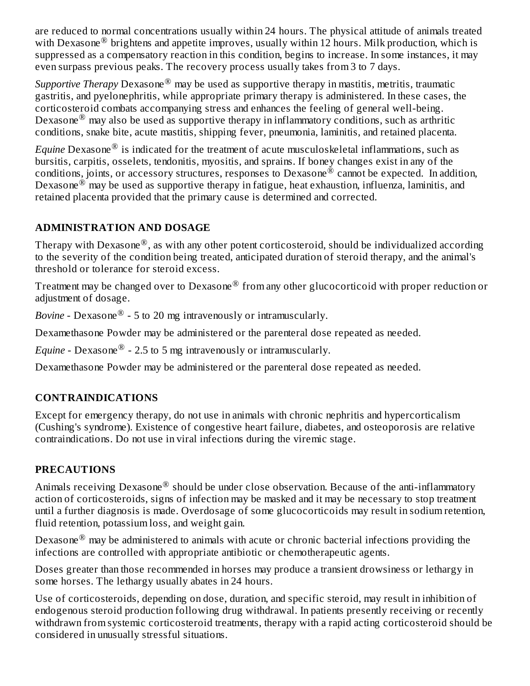are reduced to normal concentrations usually within 24 hours. The physical attitude of animals treated with Dexasone<sup>®</sup> brightens and appetite improves, usually within 12 hours. Milk production, which is suppressed as a compensatory reaction in this condition, begins to increase. In some instances, it may even surpass previous peaks. The recovery process usually takes from 3 to 7 days.

*Supportive Therapy* Dexasone® may be used as supportive therapy in mastitis, metritis, traumatic gastritis, and pyelonephritis, while appropriate primary therapy is administered. In these cases, the corticosteroid combats accompanying stress and enhances the feeling of general well-being. Dexasone<sup>®</sup> may also be used as supportive therapy in inflammatory conditions, such as arthritic conditions, snake bite, acute mastitis, shipping fever, pneumonia, laminitis, and retained placenta.

 $E$ quine Dexasone $^\circledR$  is indicated for the treatment of acute musculoskeletal inflammations, such as bursitis, carpitis, osselets, tendonitis, myositis, and sprains. If boney changes exist in any of the conditions, joints, or accessory structures, responses to Dexasone  $^{\circledR}$  cannot be expected. In addition, Dexasone $^{\circledR}$  may be used as supportive therapy in fatigue, heat exhaustion, influenza, laminitis, and retained placenta provided that the primary cause is determined and corrected.

### **ADMINISTRATION AND DOSAGE**

Therapy with Dexasone $^\circledR$ , as with any other potent corticosteroid, should be individualized according to the severity of the condition being treated, anticipated duration of steroid therapy, and the animal's threshold or tolerance for steroid excess.

Treatment may be changed over to Dexasone $^\circledR$  from any other glucocorticoid with proper reduction or adjustment of dosage.

*Bovine* - Dexasone<sup>®</sup> - 5 to 20 mg intravenously or intramuscularly.

Dexamethasone Powder may be administered or the parenteral dose repeated as needed.

*Equine* - Dexasone $^{\circledR}$  - 2.5 to 5 mg intravenously or intramuscularly.

Dexamethasone Powder may be administered or the parenteral dose repeated as needed.

## **CONTRAINDICATIONS**

Except for emergency therapy, do not use in animals with chronic nephritis and hypercorticalism (Cushing's syndrome). Existence of congestive heart failure, diabetes, and osteoporosis are relative contraindications. Do not use in viral infections during the viremic stage.

## **PRECAUTIONS**

Animals receiving Dexasone $^\circledR$  should be under close observation. Because of the anti-inflammatory action of corticosteroids, signs of infection may be masked and it may be necessary to stop treatment until a further diagnosis is made. Overdosage of some glucocorticoids may result in sodium retention, fluid retention, potassium loss, and weight gain.

Dexasone $^{\circledR}$  may be administered to animals with acute or chronic bacterial infections providing the infections are controlled with appropriate antibiotic or chemotherapeutic agents.

Doses greater than those recommended in horses may produce a transient drowsiness or lethargy in some horses. The lethargy usually abates in 24 hours.

Use of corticosteroids, depending on dose, duration, and specific steroid, may result in inhibition of endogenous steroid production following drug withdrawal. In patients presently receiving or recently withdrawn from systemic corticosteroid treatments, therapy with a rapid acting corticosteroid should be considered in unusually stressful situations.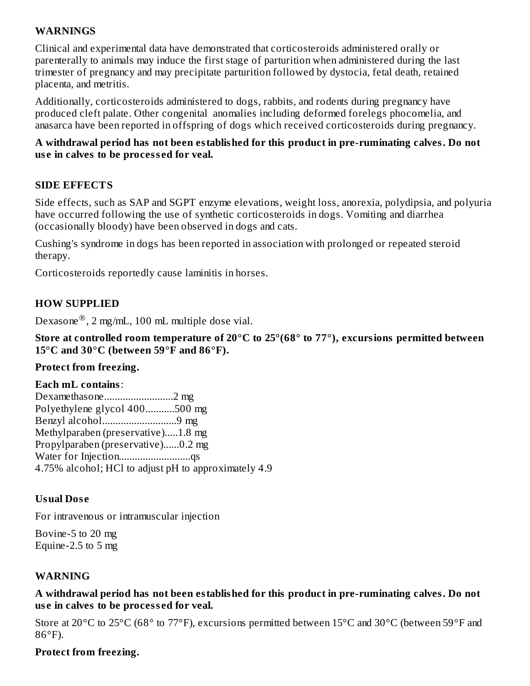### **WARNINGS**

Clinical and experimental data have demonstrated that corticosteroids administered orally or parenterally to animals may induce the first stage of parturition when administered during the last trimester of pregnancy and may precipitate parturition followed by dystocia, fetal death, retained placenta, and metritis.

Additionally, corticosteroids administered to dogs, rabbits, and rodents during pregnancy have produced cleft palate. Other congenital anomalies including deformed forelegs phocomelia, and anasarca have been reported in offspring of dogs which received corticosteroids during pregnancy.

#### **A withdrawal period has not been established for this product in pre-ruminating calves. Do not us e in calves to be process ed for veal.**

#### **SIDE EFFECTS**

Side effects, such as SAP and SGPT enzyme elevations, weight loss, anorexia, polydipsia, and polyuria have occurred following the use of synthetic corticosteroids in dogs. Vomiting and diarrhea (occasionally bloody) have been observed in dogs and cats.

Cushing's syndrome in dogs has been reported in association with prolonged or repeated steroid therapy.

Corticosteroids reportedly cause laminitis in horses.

#### **HOW SUPPLIED**

Dexasone $^{\circledR}$ , 2 mg/mL, 100 mL multiple dose vial.

**Store at controlled room temperature of 20°C to 25°(68° to 77°), excursions permitted between 15°C and 30°C (between 59°F and 86°F).**

#### **Protect from freezing.**

#### **Each mL contains**:

Dexamethasone..........................2 mg Polyethylene glycol 400...........500 mg Benzyl alcohol............................9 mg Methylparaben (preservative).....1.8 mg Propylparaben (preservative)......0.2 mg Water for Injection.................................qs 4.75% alcohol; HCl to adjust pH to approximately 4.9

#### **Usual Dos e**

For intravenous or intramuscular injection

Bovine-5 to 20 mg Equine-2.5 to 5 mg

#### **WARNING**

**A withdrawal period has not been established for this product in pre-ruminating calves. Do not us e in calves to be process ed for veal.**

Store at 20°C to 25°C (68° to 77°F), excursions permitted between 15°C and 30°C (between 59°F and 86°F).

#### **Protect from freezing.**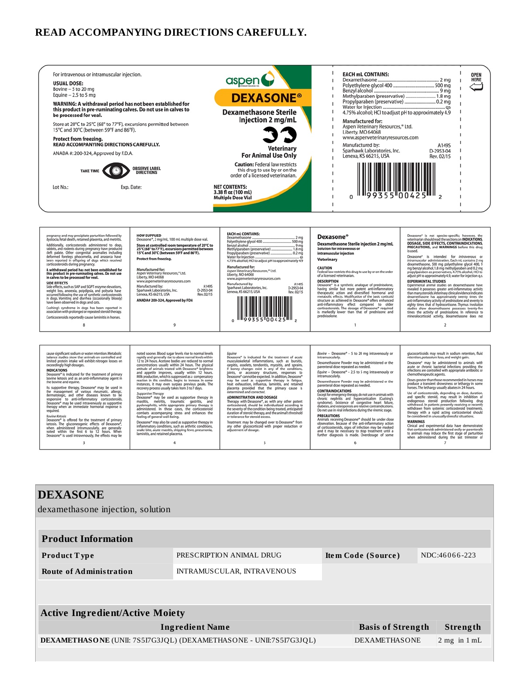#### **READ ACCOMPANYING DIRECTIONS CAREFULLY.**



| <b>DEXASONE</b><br>dexamethasone injection, solution               |                            |                          |                  |  |  |  |  |
|--------------------------------------------------------------------|----------------------------|--------------------------|------------------|--|--|--|--|
|                                                                    |                            |                          |                  |  |  |  |  |
| <b>Product Information</b>                                         |                            |                          |                  |  |  |  |  |
| <b>Product Type</b>                                                | PRESCRIPTION ANIMAL DRUG   | Item Code (Source)       | NDC:46066-223    |  |  |  |  |
| <b>Route of Administration</b>                                     | INTRAMUSCULAR, INTRAVENOUS |                          |                  |  |  |  |  |
|                                                                    |                            |                          |                  |  |  |  |  |
| <b>Active Ingredient/Active Moiety</b>                             |                            |                          |                  |  |  |  |  |
|                                                                    | <b>Ingredient Name</b>     | <b>Basis of Strength</b> | Strength         |  |  |  |  |
| DEXAMETHASONE (UNII: 7S5I7G3JQL) (DEXAMETHASONE - UNII:7S5I7G3JQL) |                            | <b>DEXAMETHASONE</b>     | $2$ mg in $1$ mL |  |  |  |  |
|                                                                    |                            |                          |                  |  |  |  |  |